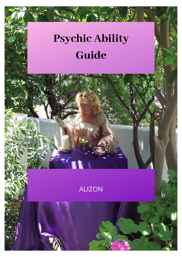# **Psychic Ability** Guide

### **ALIZON**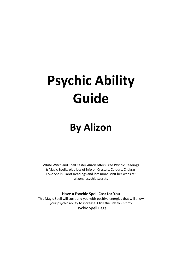# **Psychic Ability Guide**

## **By Alizon**

White Witch and Spell Caster Alizon offers Free Psychic Readings & Magic Spells, plus lots of info on Crystals, Colours, Chakras, Love Spells, Tarot Readings and lots more. Visit her website: [alizons-psychic-secrets](https://www.alizons-psychic-secrets.com/)

#### **Have a Psychic Spell Cast for You**

This Magic Spell will surround you with positive energies that will allow your psychic ability to increase. Click the link to visit my [Psychic Spell Page](https://www.alizons-psychic-secrets.com/psychic-spells.html)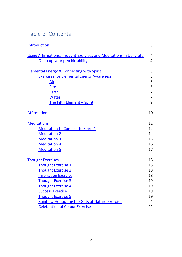### Table of Contents

| Introduction                                                        | 3              |
|---------------------------------------------------------------------|----------------|
| Using Affirmations, Thought Exercises and Meditations in Daily Life | $\overline{4}$ |
| Open up your psychic ability                                        | $\overline{4}$ |
| <b>Elemental Energy &amp; Connecting with Spirit</b>                | 6              |
| <b>Exercises for Elemental Energy Awareness</b>                     | 6              |
| Air                                                                 | 6              |
| <b>Fire</b>                                                         | 6              |
| Earth                                                               | $\overline{7}$ |
| <b>Water</b>                                                        | $\overline{7}$ |
| The Fifth Element - Spirit                                          | 9              |
| <b>Affirmations</b>                                                 | 10             |
| <b>Meditations</b>                                                  | 12             |
| <b>Meditation to Connect to Spirit 1</b>                            | 12             |
| <b>Meditation 2</b>                                                 | 14             |
| <b>Meditation 3</b>                                                 | 15             |
| <b>Meditation 4</b>                                                 | 16             |
| <b>Meditation 5</b>                                                 | 17             |
| <b>Thought Exercises</b>                                            | 18             |
| <b>Thought Exercise 1</b>                                           | 18             |
| <b>Thought Exercise 2</b>                                           | 18             |
| <b>Inspiration Exercise</b>                                         | 18             |
| Thought Exercise 3                                                  | 19             |
| <b>Thought Exercise 4</b>                                           | 19             |
| <b>Success Exercise</b>                                             | 19             |
| <b>Thought Exercise 5</b>                                           | 19             |
| Rainbow Honouring the Gifts of Nature Exercise                      | 21             |
| <b>Celebration of Colour Exercise</b>                               | 21             |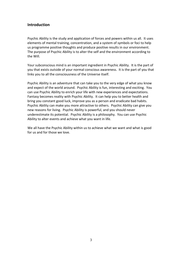#### <span id="page-3-0"></span>**Introduction**

Psychic Ability is the study and application of forces and powers within us all. It uses elements of mental training, concentration, and a system of symbols or foci to help us programme positive thoughts and produce positive results in our environment. The purpose of Psychic Ability is to alter the self and the environment according to the Will.

Your subconscious mind is an important ingredient in Psychic Ability. It is the part of you that exists outside of your normal conscious awareness. It is the part of you that links you to all the consciousness of the Universe itself.

Psychic Ability is an adventure that can take you to the very edge of what you know and expect of the world around. Psychic Ability is fun, interesting and exciting. You can use Psychic Ability to enrich your life with new experiences and expectations. Fantasy becomes reality with Psychic Ability. It can help you to better health and bring you constant good luck, improve you as a person and eradicate bad habits. Psychic Ability can make you more attractive to others. Psychic Ability can give you new reasons for living. Psychic Ability is powerful, and you should never underestimate its potential. Psychic Ability is a philosophy. You can use Psychic Ability to alter events and achieve what you want in life.

We all have the Psychic Ability within us to achieve what we want and what is good for us and for those we love.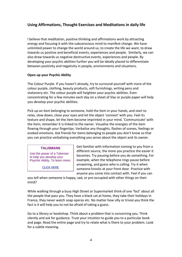#### <span id="page-4-0"></span>**Using Affirmations, Thought Exercises and Meditations in daily life**

I believe that meditation, positive thinking and affirmations work by attracting energy and focusing it with the subconscious mind to manifest change. We have unlimited power to change the world around us, to create the life we want, to draw towards us positive and beneficial events, experiences and people. Similarly, we can also draw towards us negative destructive events, experiences and people. By developing your psychic abilities further you will be ideally placed to differentiate between positivity and negativity in people, environments and situations.

#### <span id="page-4-1"></span>**Open up your Psychic Ability**

The Colour Purple. If you haven't already, try to surround yourself with more of the colour purple, clothing, beauty products, soft furnishings, writing pens and stationery etc. The colour purple will heighten your psychic abilities. Even concentrating for a few minutes each day on a sheet of lilac or purple paper will help you develop your psychic abilities.

Pick up an item belonging to someone, hold the item in your hands, and start to relax, slow down, close your eyes and let the object 'connect' with you. Feel its texture and shape, let the item become imprinted in your mind. 'Communicate' with the item; remember it is linked to the owner. Visualise the energies of the item flowing through your fingertips. Verbalise any thoughts, flashes of scenes, feelings or evoked emotions. Ask friends for items belonging to people you don't know so that you can practice verbalising everything you sense about the object and its owner.

#### **TALISMANS**

Use the power of a Talisman to help you develop your Psychic Ability. To learn more:

[CLICK HERE](https://www.alizons-psychic-secrets.com/talismans.html)

Get familiar with information coming to you from a different source, the more you practice the easier it becomes. Try pausing before you do something. For example, when the telephone rings pause before answering, and guess who is calling. Try it when someone knocks at your front door. Practice with anyone you come into contact with. Feel if you can

you tell when someone is happy, sad, or pre-occupied with other things on their mind?

While walking through a busy High Street or Supermarket think of one 'fact' about all the people that pass you. They have a black cat at home, they take their holidays in France, they never watch soap operas etc. No matter how silly or trivial you think the fact is it will help you to not be afraid of taking a guess.

Go to a library or bookshop. Think about a problem that is concerning you. Think silently and ask for guidance. Trust your intuition to guide you to a particular book and page. Read the entire page and try to relate what is there to your problem. Look for a subtle meaning.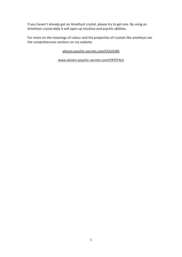If you haven't already got an Amethyst crystal, please try to get one. By using an Amethyst crystal daily it will open up intuitive and psychic abilities.

For more on the meanings of colour and the properties of crystals like amethyst see the comprehensive sections on my website:

[alizons-psychic-secrets.com/COLOURS](https://www.alizons-psychic-secrets.com/colours.html)

[www.alizons-psychic-secrets.com/CRYSTALS](https://www.alizons-psychic-secrets.com/crystals.html)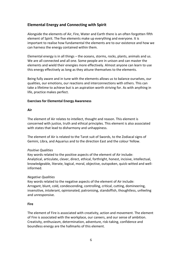#### <span id="page-6-0"></span>**Elemental Energy and Connecting with Spirit**

Alongside the elements of Air, Fire, Water and Earth there is an often forgotten fifth element of Spirit. The five elements make up everything and everyone. It is important to realise how fundamental the elements are to our existence and how we can harness the energy contained within them.

Elemental energy is in all things – the oceans, storms, rocks, plants, animals and us. We are all connected and all one. Some people are in unison and can master the elements and wield their energies more effectively. Almost anyone can learn to use this energy effectively as long as they attune themselves to the elements.

Being fully aware and in tune with the elements allows us to balance ourselves, our qualities, our emotions, our reactions and interconnections with others. This can take a lifetime to achieve but is an aspiration worth striving for. As with anything in life, practice makes perfect.

#### <span id="page-6-1"></span>**Exercises for Elemental Energy Awareness**

#### <span id="page-6-2"></span>**Air**

The element of Air relates to intellect, thought and reason. This element is concerned with justice, truth and ethical principles. This element is also associated with states that lead to disharmony and unhappiness.

The element of Air is related to the Tarot suit of Swords, to the Zodiacal signs of Gemini, Libra, and Aquarius and to the direction East and the colour Yellow.

#### *Positive Qualities*

Key words related to the positive aspects of the element of Air include: Analytical, articulate, clever, direct, ethical, forthright, honest, incisive, intellectual, knowledgeable, literate, logical, moral, objective, outspoken, quick-witted and wellinformed.

#### *Negative Qualities*

Key words related to the negative aspects of the element of Air include: Arrogant, blunt, cold, condescending, controlling, critical, cutting, domineering, insensitive, intolerant, opinionated, patronising, standoffish, thoughtless, unfeeling and unresponsive.

#### <span id="page-6-3"></span>**Fire**

The element of Fire is associated with creativity, action and movement. The element of Fire is associated with the workplace, our careers, and our sense of ambition. Creativity, enthusiasm, determination, adventure, risk-taking, confidence and boundless energy are the hallmarks of this element.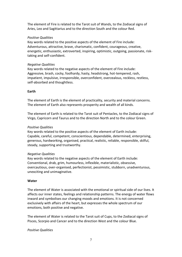The element of Fire is related to the Tarot suit of Wands, to the Zodiacal signs of Aries, Leo and Sagittarius and to the direction South and the colour Red.

#### *Positive Qualities*

Key words related to the positive aspects of the element of Fire include: Adventurous, attractive, brave, charismatic, confident, courageous, creative, energetic, enthusiastic, extroverted, inspiring, optimistic, outgoing, passionate, risktaking and self-confident.

#### *Negative Qualities*

Key words related to the negative aspects of the element of Fire include: Aggressive, brash, cocky, foolhardy, hasty, headstrong, hot-tempered, rash, impatient, impulsive, irresponsible, overconfident, overzealous, reckless, restless, self-absorbed and thoughtless.

#### <span id="page-7-0"></span>**Earth**

The element of Earth is the element of practicality, security and material concerns. The element of Earth also represents prosperity and wealth of all kinds.

The element of Earth is related to the Tarot suit of Pentacles, to the Zodiacal signs of Virgo, Capricorn and Taurus and to the direction North and to the colour Green.

#### *Positive Qualities*

Key words related to the positive aspects of the element of Earth include: Capable, careful, competent, conscientious, dependable, determined, enterprising, generous, hardworking, organised, practical, realistic, reliable, responsible, skilful, steady, supporting and trustworthy.

#### *Negative Qualities*

Key words related to the negative aspects of the element of Earth include: Conventional, drab, grim, humourless, inflexible, materialistic, obsessive, overcautious, over-organised, perfectionist, pessimistic, stubborn, unadventurous, unexciting and unimaginative.

#### <span id="page-7-1"></span>**Water**

The element of Water is associated with the emotional or spiritual side of our lives. It affects our inner states, feelings and relationship patterns. The energy of water flows inward and symbolises our changing moods and emotions. It is not concerned exclusively with affairs of the heart, but expresses the whole spectrum of our emotions, both positive and negative.

The element of Water is related to the Tarot suit of Cups, to the Zodiacal signs of Pisces, Scorpio and Cancer and to the direction West and the colour Blue.

#### *Positive Qualities*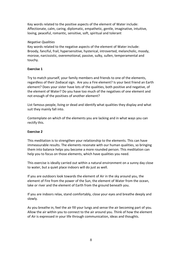Key words related to the positive aspects of the element of Water include: Affectionate, calm, caring, diplomatic, empathetic, gentle, imaginative, intuitive, loving, peaceful, romantic, sensitive, soft, spiritual and tolerant

#### *Negative Qualities*

Key words related to the negative aspects of the element of Water include: Broody, fanciful, frail, hypersensitive, hysterical, introverted, melancholic, moody, morose, narcissistic, overemotional, passive, sulky, sullen, temperamental and touchy.

#### **Exercise 1**

Try to match yourself, your family members and friends to one of the elements, regardless of their Zodiacal sign. Are you a Fire element? Is your best friend an Earth element? Does your sister have lots of the qualities, both positive and negative, of the element of Water? Do you have too much of the negatives of one element and not enough of the positives of another element?

List famous people, living or dead and identify what qualities they display and what suit they mainly fall into.

Contemplate on which of the elements you are lacking and in what ways you can rectify this.

#### **Exercise 2**

This meditation is to strengthen your relationship to the elements. This can have immeasurable results. The elements resonate with our human qualities, so bringing them into balance helps you become a more rounded person. This meditation can help you to focus on those elements, which have qualities you need.

This exercise is ideally carried out within a natural environment on a sunny day close to water, but a quiet place indoors will do just as well.

If you are outdoors look towards the element of Air in the sky around you, the element of Fire from the power of the Sun, the element of Water from the ocean, lake or river and the element of Earth from the ground beneath you.

If you are indoors relax, stand comfortably, close your eyes and breathe deeply and slowly.

As you breathe in, feel the air fill your lungs and sense the air becoming part of you. Allow the air within you to connect to the air around you. Think of how the element of Air is expressed in your life through communication, ideas and thoughts.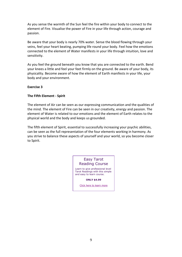As you sense the warmth of the Sun feel the fire within your body to connect to the element of Fire. Visualise the power of Fire in your life through action, courage and passion.

Be aware that your body is nearly 70% water. Sense the blood flowing through your veins, feel your heart beating, pumping life round your body. Feel how the emotions connected to the element of Water manifests in your life through intuition, love and sensitivity.

As you feel the ground beneath you know that you are connected to the earth. Bend your knees a little and feel your feet firmly on the ground. Be aware of your body, its physicality. Become aware of how the element of Earth manifests in your life, your body and your environment.

#### **Exercise 3**

#### <span id="page-9-0"></span>**The Fifth Element - Spirit**

The element of Air can be seen as our expressing communication and the qualities of the mind. The element of Fire can be seen in our creativity, energy and passion. The element of Water is related to our emotions and the element of Earth relates to the physical world and the body and keeps us grounded.

The fifth element of Spirit, essential to successfully increasing your psychic abilities, can be seen as the full representation of the four elements working in harmony. As you strive to balance these aspects of yourself and your world, so you become closer to Spirit.

#### Easy Tarot Reading Course

Learn to give professional level Tarot Readings with this simple and easy to learn course.

**ONLY \$4.99**

[Click here to learn more](https://www.alizons-psychic-secrets.com/tarot-reading-course.html)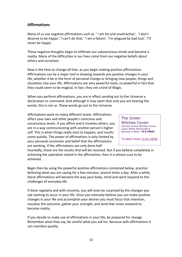#### <span id="page-10-0"></span>**Affirmations**

Many of us use negative affirmations such as ' I am fat and unattractive', 'I don't deserve to be happy', 'I can't do that,' 'I am a failure', 'I'm plagued by bad luck', 'I'll never be happy'.

These negative thoughts begin to infiltrate our subconscious minds and become a reality. Many of the difficulties in our lives come from our negative beliefs about others and ourselves.

Now is the time to change all that, as you begin making positive affirmations. Affirmations can be a major tool in drawing towards you positive changes in your life, whether it be in the form of personal change or bringing new people, things and situations into your life. Affirmations are very powerful tools, so powerful in fact that they could seem to be magical. In fact, they are a kind of Magic.

When you perform affirmations, you are in effect sending out to the Universe a declaration or command. And although it may seem that only you are hearing the words, this is not so. These words go out to the Universe.

Affirmations work on many different levels. Affirmations affect your own and other people's conscious and unconscious levels. If you affirm and it involves others, you are in a way communicating with another person's higher self. This is when things really start to happen, and results come quickly. The power of affirmations is only limited by your personal conviction and belief that the affirmations are working. If the affirmations are only done half-

The Green Witches Coven Join the Green Witches Coven. Learn White Witchcraft & become a Witch. **IT'S FREE!**

To learn more [CLICK HERE](https://www.alizons-psychic-secrets.com/coven.html)

heartedly, those are the results that will be received. But if you believe completely in achieving the aspiration stated in the affirmation, then it is almost sure to be achieved.

Begin then by using the powerful positive affirmations contained below, practice believing what you are saying for a few minutes, several times a day. After a while, these affirmations will become the way your body, mind and spirit respond to the challenges of everyday life.

If done regularly and with sincerity, you will soon be surprised by the changes you see starting to occur in your life. Once you intensely believe you can make positive changes in your life and accomplish your desires you must focus that intention, visualise the outcome, gather your strength, and send that vision outward to become reality.

If you decide to make use of affirmations in your life, be prepared for change. Remember what they say, be careful what you ask for, because with affirmations it can manifest quickly.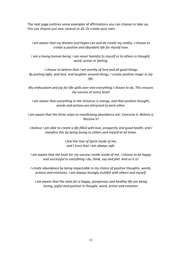The next page outlines some examples of affirmations you can choose to take up. You can choose just one, several or all. Or create your own.

*I am aware that my dreams and hopes can and do create my reality. I choose to create a positive and abundant life for myself now.*

*I am a loving human being. I am never harmful to myself or to others in thought, word, action or feeling.*

*I choose to believe that I am worthy of love and all good things By putting light, and love, and laughter around things, I create positive magic in my life.*

*My enthusiasm and joy for life spills over into everything I choose to do. This ensures my success at every level!*

*I am aware that everything in the Universe is energy, and that positive thought; words and actions are attracted to each other.*

*I am aware that the three steps to manifesting abundance are: Conceive it, Believe it, Receive it!*

*I believe I am able to create a life filled with love, prosperity and good health, and I manifest this by being loving to others and myself at all times.*

> *I feel the love of Spirit inside of me, and I trust that I am always safe.*

*I am aware that the tools for my success reside inside of me. I choose to be happy and successful in everything I do, think, say and feel. And so it is!*

*I create abundance by being impeccable in my choice of positive thoughts, words, actions and emotions. I am always lovingly truthful with others and myself.*

*I am aware that the tools for a happy, prosperous and healthy life are being loving, joyful and positive in thought, word, action and emotion.*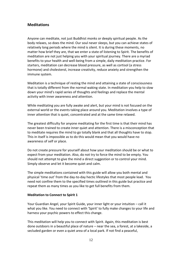#### <span id="page-12-0"></span>**Meditations**

Anyone can meditate, not just Buddhist monks or deeply spiritual people. As the body relaxes, so does the mind. Our soul never sleeps, but you can achieve states of relatively long periods where the mind is silent. It is during these moments, no matter how brief they are, that we enter a state of listening to Spirit. The benefits of meditation are not just helping you with your spiritual journey. There are a myriad benefits to your health and well-being from a simple, daily meditation practice. For starters, meditation can decrease blood pressure, as well as cortisol (a stress hormone) and cholesterol, increase creativity, reduce anxiety and strengthen the immune system.

Meditation is a technique of resting the mind and attaining a state of consciousness that is totally different from the normal waking state. In meditation you help to slow down your mind's rapid series of thoughts and feelings and replace the mental activity with inner awareness and attention.

While meditating you are fully awake and alert, but your mind is not focused on the external world or the events taking place around you. Meditation involves a type of inner attention that is quiet, concentrated and at the same time relaxed.

The greatest difficulty for anyone meditating for the first time is that their mind has never been trained to create inner quiet and attention. There is a misconception that to meditate requires the mind to go totally blank and that all thoughts have to stop. This in itself is impossible as to do this would mean that you would have no awareness of self or place.

Do not create pressure for yourself about how your meditation should be or what to expect from your meditation. Also, do not try to force the mind to be empty. You should not attempt to give the mind a direct suggestion or to control your mind. Simply observe and let it become quiet and calm.

The simple meditations contained with this guide will allow you both mental and physical 'time out' from the day-to-day hectic lifestyles that most people lead. You need not confine them to the specified times outlined in this guide but practice and repeat them as many times as you like to get full benefits from them.

#### <span id="page-12-1"></span>**Meditation to Connect to Spirit 1**

Your Guardian Angel, your Spirit Guide, your inner light or your intuition – call it what you like. You need to connect with 'Spirit' to fully make changes to your life and harness your psychic powers to effect this change.

This meditation will help you to connect with Spirit. Again, this meditation is best done outdoors in a beautiful place of nature – near the sea, a forest, at a lakeside, a secluded garden or even a quiet area of a local park. If not find a peaceful,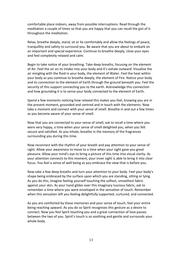comfortable place indoors, away from possible interruptions. Read through the meditation a couple of times so that you are happy that you can recall the gist of it throughout the meditation.

Relax, breathe deeply, stand, sit or lie comfortably and allow the feelings of peace, tranquillity and safety to surround you. Be aware that you are about to embark on an important and special experience. Continue to breathe deeply, close your eyes and feel completely relaxed and calm.

Begin to take notice of your breathing. Take deep breaths, focusing on the element of Air. Feel the air on its intake into your body and it's exhale outward. Visualise the air mingling with the fluid in your body, the element of Water. Feel the heat within your body as you continue to breathe deeply, the element of Fire. Notice your body and its connection to the element of Earth through the ground beneath you. Feel the security of this support connecting you to the earth. Acknowledge this connection and how grounding it is to sense your body connected to the element of Earth.

Spend a few moments noticing how relaxed this makes you feel, knowing you are in the present moment, grounded and centred and in touch with the elements. Now take a moment and connect with your sense of smell. Breathe in and out a few times as you become aware of your sense of smell.

Now that you are connected to your sense of smell, ask to recall a time where you were very happy, a time when your sense of smell delighted you, when you felt secure and satisfied. As you inhale, breathe in the memory of the fragrances surrounding you during this time.

Now reconnect with the rhythm of your breath and pay attention to your sense of sight. Allow your awareness to move to a time when your sight gave you great pleasure. Allow your mind's eye to bring a picture of this time into visual clarity. As your attention connects to this moment, your inner sight is able to bring it into clear focus. You feel a sense of well being as you embrace the view that is before you.

Now take a few deep breaths and turn your attention to your body. Feel your body's shape being embraced by the surface upon which you are standing, sitting or lying. As you do this, imagine feeling yourself touching the softest, smoothest fabric against your skin. As your hand glides over this imaginary luscious fabric, ask to remember a time where you were enveloped in the sensation of touch. Remember when this sensation left you feeling delightfully supported, nurtured, and connected.

As you are comforted by these memories and your sense of touch, feel your entire being reaching upward. As you do so Spirit recognises this gesture as a desire to connect. Now you feel Spirit touching you and a great connection of love passes between the two of you. Spirit's touch is so soothing and gentle and surrounds your whole body.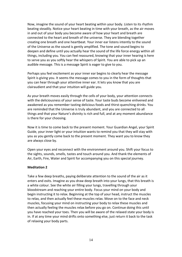Now, imagine the sound of your heart beating within your body. Listen to its rhythm beating steadily. Notice your heart beating in time with your breath, as the air moves in and out of your body you become aware of how your heart and breath are connected to the heart and breath of the universe. They are blending together creating one breath and one heartbeat. Your inner ear listens intently to the sound of the Universe as the sound is gently amplified. The tone and sound begins to deepen and define until you actually hear the sound of the life force energy within all things, including you. You can feel reassured, knowing that your inner hearing is here to serve you as you softly hear the whispers of Spirit. You are able to pick up an audible message. This is a message Spirit is eager to give to you.

Perhaps you feel excitement as your inner ear begins to clearly hear the message Spirit is giving you. It seems the message comes to you in the form of thoughts that you can hear through your attentive inner ear. It lets you know that you are clairaudient and that your intuition will guide you.

As your breath moves easily through the cells of your body, your attention connects with the deliciousness of your sense of taste. Your taste buds become enlivened and awakened as you remember tasting delicious foods and thirst-quenching drinks. You are reminded that the Universe is truly abundant, and you are connected to all things and that your Nature's divinity is rich and full, and at any moment abundance is there for your choosing.

Now it is time to come back to the present moment. Your Guardian Angel, your Spirit Guide, your inner light or your intuition wants to remind you that they will stay with you as you gently come back to the present moment. They want you to know they are always close by.

Open your eyes and reconnect with the environment around you. Shift your focus to the sights, sounds, smells, tastes and touch around you. And thank the elements of Air, Earth, Fire, Water and Spirit for accompanying you on this special journey.

#### <span id="page-14-0"></span>**Meditation 2**

Take a few deep breaths, paying deliberate attention to the sound of the air as it enters and exits. Imagine as you draw deep breath into your lungs, that this breath is a white colour. See the white air filling your lungs, travelling through your bloodstream and reaching your entire body. Focus your mind on your body and begin instructing it to relax. Beginning at the top of your head, instruct the muscles to relax, and then actually feel these muscles relax. Move on to the face and neck muscles, focusing your mind on instructing your body to relax these muscles and then actually feeling the muscles relax before you go on. Continue doing this until you have reached your toes. Then you will be aware of the relaxed state your body is in. If at any time your mind drifts onto something else, just return it back to the task of relaxing your body parts.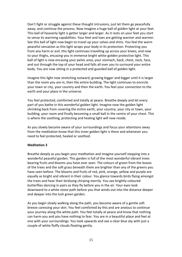Don't fight or struggle against these thought intrusions, just let them go peacefully away, and continue the process. Now imagine a huge ball of golden light at your feet. This ball of heavenly light is getter larger and larger. As it rests on your feet you start to sense its warming capabilities. Your feet and toes are getting warmer and warmer. See this ball of light now begin to travel up your calves and shins. You feel the warm peaceful sensation as this light wraps your body in its protection. Protecting you from any harm or evil, this light continues travelling up across your knees, and now to your thighs, encasing you in immense bright white-golden protective light. This ball of light is now encasing your pelvic area, your stomach, back, chest, neck, face, and out through the top of your head and falls all over you to surround your entire body. You are now sitting in a protected and guarded ball of golden light.

Imagine this light now stretching outward, growing bigger and bigger until it is larger than the room you are in, then the entire building. The light continues to encircle your town or city, your country and then the earth. You feel your connection to the earth and your place in the universe.

You feel protected, comforted and totally at peace. Breathe deeply and let every part of you bathe in this wonderful golden light. Imagine now the golden light shrinking back from covering the entire earth, your country, your city or town, your building, your room and finally becoming a small ball in the centre of your chest. This is where the soothing, protecting and healing light will now reside.

As you slowly become aware of your surroundings and focus your attentions away from the meditation know that this inner golden light is there and whenever you need to feel protected, healed or soothed.

#### <span id="page-15-0"></span>**Meditation 3**

Breathe deeply as you begin your meditation and imagine yourself stepping into a wonderful peaceful garden. This garden is full of the most wonderful vibrant trees bearing fruits and blooms you have ever seen. The colours of green from the leaves of the trees and the soft grass beneath them are brighter than any of the greens you have seen before. The blooms and fruits of red, pink, orange, yellow and purple are equally as bright and vibrant in their colour. You glance towards birds flying amongst the trees and hear their birdsong chirping merrily. You see brightly coloured butterflies dancing in pairs as they fly before you in the air. Your eyes look downward to a white stone path before you that winds out into the distance deeper and deeper into the lush green garden.

As you begin slowly walking along the path, you become aware of a gentle soft breeze caressing your skin. You feel comforted by this and are anxious to continue your journey along the white path. You feel totally at peace and know that nothing can harm you and you have nothing to fear. You are in a beautiful place and feel at one with your surroundings. You look upwards and see a clear blue sky with just a couple of white fluffy clouds floating gently.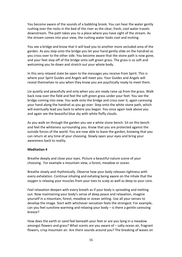You become aware of the sounds of a babbling brook. You can hear the water gently rushing over the rocks in the bed of the river as the clear, fresh, cool water travels downstream. The path takes you to a place where you have sight of the stream. As the stream comes into your view, the rushing water looks cool and inviting.

You see a bridge and know that it will lead you to another more secluded area of the garden. As you step onto the bridge you let your hand gently slide on the handrail as you cross over to the other side. You become aware that the stone path is now gone, and your feet step off of the bridge onto soft green grass. The grass is so soft and welcoming you lie down and stretch out your whole body.

In this very relaxed state be open to the messages you receive from Spirit. This is where your Spirit Guides and Angels will meet you. Your Guides and Angels will reveal themselves to you when they know you are psychically ready to meet them.

Lie quietly and peacefully and only when you are ready raise up from the grass. Walk back now over the field and feel the soft green grass under your feet. You see the bridge coming into view. You walk onto the bridge and cross over it, again caressing your hand along the handrail as you go over. Step onto the white stone path, which will eventually lead you back to where you began. You once again look above you and again see the beautiful blue sky with white fluffy clouds.

As you walk on through the garden you see a white stone bench. Sit on this bench and feel the whiteness surrounding you. Know that you are protected against the outside forces of the world. You are now able to leave the garden, knowing that you can return at any time of your choosing. Slowly open your eyes and bring your awareness back to reality.

#### <span id="page-16-0"></span>**Meditation 4**

Breathe deeply and close your eyes. Picture a beautiful nature scene of your choosing. For example a mountain view, a forest, meadow or ocean.

Breathe slowly and rhythmically. Observe how your body releases tightness with every exhalation. Continue inhaling and exhaling being aware on the inhale that the oxygen is relaxing your muscles from your toes to scalp as well as deep to your core.

Feel relaxation deepen with every breath as if your body is spreading and melting out. Now maintaining your body's sense of deep peace and relaxation, imagine yourself in a mountain, forest, meadow or ocean setting. Use all your senses to develop the image. Start with whichever sensation feels the strongest. For example, can you feel sunshine warming and relaxing your body – is there a gentle caressing breeze?

How does the earth or sand feel beneath your feet or are you lying in a meadow amongst flowers and grass? What scents are you aware of – salty ocean air, fragrant flowers, crisp mountain air. Are there sounds around you? The breaking of waves on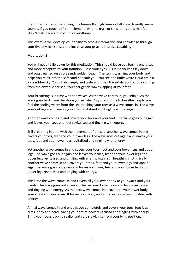the shore, birdcalls, the singing of a breeze through trees or tall grass, friendly animal sounds. If you touch different elements what texture or sensations does that feel like? What shade and colour is everything?

This exercise will develop your ability to access information and knowledge through your five physical senses and increase your psychic intuitive capability.

#### <span id="page-17-0"></span>**Meditation 5**

You will need to lie down for this meditation. This should leave you feeling energised and more receptive to your intuition. Close your eyes. Visualise yourself lay down and outstretched on a soft sandy golden beach. The sun is warming your body and helps you relax into the soft sand beneath you. You see one fluffy white cloud amidst a clear blue sky. You inhale deeply and taste and smell the exhilarating ozone coming from the crystal-clear sea. You hear gentle waves lapping at your feet.

Your breathing is in time with the waves. As the wave comes in, you inhale. As the wave goes back from the shore you exhale. As you continue to breathe deeply you feel the cooling water from the sea touching your toes as a wave comes in. The wave goes out again and leaves your toes revitalised and tingling with energy.

Another wave comes in and covers your toes and your feet. The wave goes out again and leaves your toes and feet revitalised and tingling with energy.

Still breathing in time with the movement of the sea, another wave comes in and covers your toes, feet and your lower legs. The wave goes out again and leaves your toes, feet and your lower legs revitalised and tingling with energy.

Yet another wave comes in and covers your toes, feet and your lower legs and upper legs. The wave goes out again and leaves your toes, feet and your lower legs and upper legs revitalised and tingling with energy. Again still breathing rhythmically another wave comes in and covers your toes, feet and your lower legs and upper legs. The wave goes out again and leaves your toes, feet and your lower legs and upper legs revitalised and tingling with energy.

This time the wave comes in and covers all your lower body to your waist and your hands. The wave goes out again and leaves your lower body and hands revitalised and tingling with energy. As the next wave comes in it covers all your lower body, your chest and your arms. It leaves your body and arms revitalised and tingling with energy.

A final wave comes in and engulfs you completely and covers your toes, feet legs, arms, body and head leaving your entire body revitalised and tingling with energy. Bring your focus back to reality and very slowly rise from your lying position.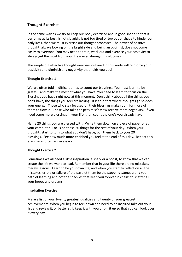#### <span id="page-18-0"></span>**Thought Exercises**

In the same way as we try to keep our body exercised and in good shape so that it performs at its best, is not sluggish, is not too tired or too out of shape to hinder our daily lives, then we must exercise our thought processes. The power of positive thought, always looking on the bright side and being an optimist, does not come easily to everyone. You may need to train, work out and exercise your positivity to always get the most from your life – even during difficult times.

The simple but effective thought exercises outlined in this guide will reinforce your positivity and diminish any negativity that holds you back.

#### <span id="page-18-1"></span>**Thought Exercise 1**

We are often told in difficult times to count our blessings. You must learn to be grateful and make the most of what you have. You need to learn to focus on the Blessings you have right now at this moment. Don't think about all the things you don't have, the things you feel are lacking. It is true that where thoughts go so does your energy. Those who stay focused on their blessings make room for more of them to flow in. Those who take the pessimist's view receive more negativity. If you need some more blessings in your life, then count the one's you already have.

Name 20 things you are blessed with. Write them down on a piece of paper or at your computer. Focus on these 20 things for the rest of your day. When your thoughts start to turn to what you don't have, pull them back to your 20 blessings. See how much more enriched you feel at the end of this day. Repeat this exercise as often as necessary.

#### <span id="page-18-2"></span>**Thought Exercise 2**

Sometimes we all need a little inspiration, a spark or a boost, to know that we can create the life we want to lead. Remember that in your life there are no mistakes, merely lessons. Learn to be your own life, and when you start to reflect on all the mistakes, errors or failure of the past let them be the stepping-stones along your path of learning and not the shackles that keep you forever in chains to shatter all your hopes and dreams.

#### <span id="page-18-3"></span>**Inspiration Exercise**

Make a list of your twenty greatest qualities and twenty of your greatest achievements. When you begin to feel down and need to be inspired take out your list and review it, or better still, keep it with you or pin it up so that you can look over it every day.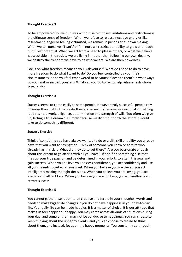#### <span id="page-19-0"></span>**Thought Exercise 3**

To be empowered to live our lives without self-imposed limitations and restrictions is the ultimate sense of freedom. When we refuse to release negative energies like resentment, anger or feeling victimised, we remain in prisons of our own making. When we tell ourselves 'I can't' or 'I'm not', we restrict our ability to grow and reach our fullest potential. When we act from a need to please others, or what we believe is acceptable in the society we are living in, rather than following our own destiny, we destroy the freedom we have to be who we are. We are then powerless.

Focus on what freedom means to you. Ask yourself 'What do I need to do to have more freedom to do what I want to do' Do you feel controlled by your life's circumstances, or do you feel empowered to be yourself despite them? In what ways do you limit or restrict yourself? What can you do today to help release restrictions in your life?

#### <span id="page-19-1"></span>**Thought Exercise 4**

Success seems to come easily to some people. However truly successful people rely on more than just luck to create their successes. To become successful at something requires hard work, diligence, determination and strength of will. Too often we give up, letting a true dream die simply because we didn't put forth the effort it would take to do something different.

#### <span id="page-19-2"></span>**Success Exercise**

Think of something you have always wanted to do or a gift, skill or ability you already have that you want to strengthen. Think of someone you know or admire who already has this skill. What did they do to get there? Are you passionate enough about this dream to go after it with all you have? If not, find something else that fires up your true passion and be determined in your efforts to attain this goal and gain success. When you believe you possess confidence, you act confidently and use all your talents to get what you want. When you believe you are clever, you act intelligently making the right decisions. When you believe you are loving, you act lovingly and attract love. When you believe you are limitless, you act limitlessly and attract success.

#### <span id="page-19-3"></span>**Thought Exercise 5**

You cannot gather inspiration to be creative and fertile in your thoughts, words and deeds to make bigger life changes if you do not have happiness in your day-to-day life. Your daily life can be made happier. It is a matter of choice. It is our attitude that makes us feel happy or unhappy. You may come across all kinds of situations during your day, and some of them may not be conducive to happiness. You can choose to keep thinking about the unhappy events, and you can choose to refuse to think about them, and instead, focus on the happy moments. You constantly go through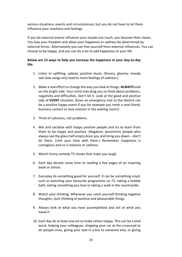various situations, events and circumstances, but you do not have to let them influence your reactions and feelings.

If you let external events influence your moods too much, you become their slaves. You lose your freedom and allow your happiness or sadness be determined by external forces. Alternatively you can free yourself from external influences. You can choose to be happy, and you can do a lot to add happiness to your life.

#### **Below are 13 ways to help you increase the happiness in your day-to-day life:**

- 1. Listen to uplifting, upbeat, positive music. (Dreary, gloomy, moody sad slow songs only lead to more feelings of sadness.)
- 2. Make a real effort to change the way you look at things. **ALWAYS** look on the bright side. Your mind may drag you to think about problems, negativity and difficulties. Don't let it. Look at the good and positive side of **EVERY** situation. (Even an emergency visit to the Dentist can be a positive happy event if you for example you meet a new friend, business contact or love interest in the waiting room!)
- 3. Think of solutions, not problems.
- 4. Mix and socialise with happy positive people and try to learn from them to be happy and positive. (Negative, pessimistic people who always see the glass half empty drain you and bring you down – don't let them. Limit your time with them.) Remember, happiness is contagious and so is lowness or sadness.
- 5. Watch funny comedy TV shows that make you laugh.
- 6. Each day devote some time to reading a few pages of an inspiring book or article.
- 7. Everyday do something good for yourself. It can be something small, such as watching your favourite programme on TV, taking a bubble bath, eating something you love or taking a walk in the countryside.
- 8. Watch your thinking. Whenever you catch yourself thinking negative thoughts, start thinking of positive and pleasurable things.
- 9. Always look at what you have accomplished and not at what you haven't.
- 10. Each day do at least one act to make others happy. This can be a kind word, helping your colleagues, stopping your car at the crossroad to let people cross, giving your seat in a bus to someone else, or giving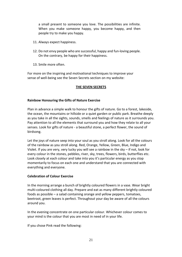a small present to someone you love. The possibilities are infinite. When you make someone happy, you become happy, and then people try to make you happy.

- 11. Always expect happiness.
- 12. Do not envy people who are successful, happy and fun-loving people. On the contrary, be happy for their happiness.
- 13. Smile more often.

For more on the inspiring and motivational techniques to improve your sense of well-being see the Seven Secrets section on my website:

#### **[THE SEVEN SECRETS](https://www.alizons-psychic-secrets.com/universal-laws.html)**

#### <span id="page-21-0"></span>**Rainbow Honouring the Gifts of Nature Exercise**

Plan in advance a simple walk to honour the gifts of nature. Go to a forest, lakeside, the ocean, the mountains or hillside or a quiet garden or public park. Breathe deeply as you take in all the sights, sounds, smells and feelings of nature as it surrounds you. Pay attention to all the elements that surround you and how they relate to all your senses. Look for gifts of nature - a beautiful stone, a perfect flower, the sound of birdsong.

Let the joys of nature seep into your soul as you stroll along. Look for all the colours of the rainbow as you stroll along. Red, Orange, Yellow, Green, Blue, Indigo and Violet. If you are very, very lucky you will see a rainbow in the sky – if not, look for every colour in the stones, pebbles, river, sky, trees, flowers, birds, butterflies etc. Look closely at each colour and take into you it's particular energy as you stop momentarily to focus on each one and understand that you are connected with everything and everyone.

#### <span id="page-21-1"></span>**Celebration of Colour Exercise**

In the morning arrange a bunch of brightly coloured flowers in a vase. Wear bright multi-coloured clothing all day. Prepare and eat as many different brightly coloured foods as possible – a salad containing orange and yellow peppers, tomatoes, beetroot, green leaves is perfect. Throughout your day be aware of all the colours around you.

In the evening concentrate on one particular colour. Whichever colour comes to your mind is the colour that you are most in need of in your life.

If you chose Pink read the following: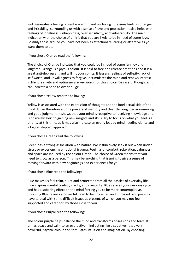Pink generates a feeling of gentle warmth and nurturing. It lessens feelings of anger and irritability, surrounding us with a sense of love and protection. It also helps with feelings of loneliness, unhappiness, over sensitivity, and vulnerability. The main indication with the choice of pink is that you are likely to be in need of some love. Possibly those around you have not been as affectionate, caring or attentive as you want them to be.

If you chose Orange read the following:

The choice of Orange indicates that you could be in need of some fun, joy and laughter. Orange is a joyous colour. It is said to free and release emotions and it is a great anti-depressant and will lift your spirits. It lessens feelings of self-pity, lack of self worth, and unwillingness to forgive. It stimulates the mind and renews interest in life. Creativity and optimism are key words for this choice. Be careful though, as it can indicate a need to overindulge.

If you chose Yellow read the following:

Yellow is associated with the expression of thoughts and the intellectual side of the mind. It can therefore aid the powers of memory and clear thinking, decision-making and good judgment. It shows that your mind is receptive to receiving knowledge and is positively alert to gaining new insights and skills. Try to focus on what you feel is a priority at this time, as it may also indicate an overly loaded mind needing clarity and a logical stepped approach.

If you chose Green read the following:

Green has a strong association with nature. We instinctively seek it out when under stress or experiencing emotional trauma. Feelings of comfort, relaxation, calmness, and space are induced by the colour Green. The choice of Green means that you need to grow as a person. This may be anything that is going to give a sense of moving forward with new beginnings and experiences for you.

If you chose Blue read the following:

Blue makes us feel calm, quiet and protected from all the hassles of everyday life. Blue inspires mental control, clarity, and creativity. Blue relaxes your nervous system and has a sobering effect on the mind forcing you to be more contemplative. Choosing Blue reveals a powerful need to be protected and nurtured. You possibly have to deal with some difficult issues at present, of which you may not feel supported and cared for, by those close to you.

If you chose Purple read the following:

The colour purple helps balance the mind and transforms obsessions and fears. It brings peace and calm to an overactive mind acting like a sedative. It is a very powerful, psychic colour and stimulates intuition and imagination. By choosing